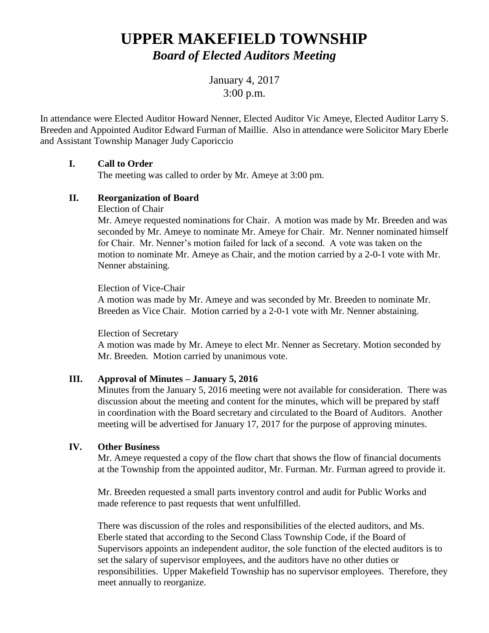# **UPPER MAKEFIELD TOWNSHIP** *Board of Elected Auditors Meeting*

January 4, 2017 3:00 p.m.

In attendance were Elected Auditor Howard Nenner, Elected Auditor Vic Ameye, Elected Auditor Larry S. Breeden and Appointed Auditor Edward Furman of Maillie. Also in attendance were Solicitor Mary Eberle and Assistant Township Manager Judy Caporiccio

## **I. Call to Order**

The meeting was called to order by Mr. Ameye at 3:00 pm*.*

# **II. Reorganization of Board**

Election of Chair

Mr. Ameye requested nominations for Chair. A motion was made by Mr. Breeden and was seconded by Mr. Ameye to nominate Mr. Ameye for Chair. Mr. Nenner nominated himself for Chair. Mr. Nenner's motion failed for lack of a second. A vote was taken on the motion to nominate Mr. Ameye as Chair, and the motion carried by a 2-0-1 vote with Mr. Nenner abstaining.

## Election of Vice-Chair

A motion was made by Mr. Ameye and was seconded by Mr. Breeden to nominate Mr. Breeden as Vice Chair. Motion carried by a 2-0-1 vote with Mr. Nenner abstaining.

#### Election of Secretary

A motion was made by Mr. Ameye to elect Mr. Nenner as Secretary. Motion seconded by Mr. Breeden. Motion carried by unanimous vote.

## **III. Approval of Minutes – January 5, 2016**

Minutes from the January 5, 2016 meeting were not available for consideration. There was discussion about the meeting and content for the minutes, which will be prepared by staff in coordination with the Board secretary and circulated to the Board of Auditors. Another meeting will be advertised for January 17, 2017 for the purpose of approving minutes.

## **IV. Other Business**

Mr. Ameye requested a copy of the flow chart that shows the flow of financial documents at the Township from the appointed auditor, Mr. Furman. Mr. Furman agreed to provide it.

Mr. Breeden requested a small parts inventory control and audit for Public Works and made reference to past requests that went unfulfilled.

There was discussion of the roles and responsibilities of the elected auditors, and Ms. Eberle stated that according to the Second Class Township Code, if the Board of Supervisors appoints an independent auditor, the sole function of the elected auditors is to set the salary of supervisor employees, and the auditors have no other duties or responsibilities. Upper Makefield Township has no supervisor employees. Therefore, they meet annually to reorganize.